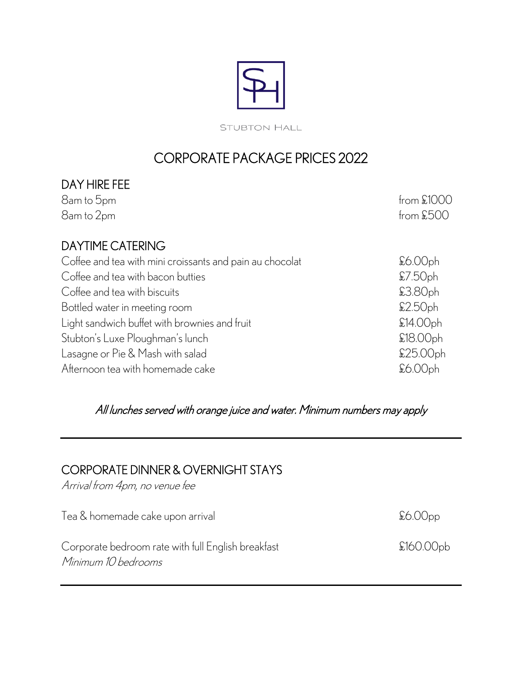

**STUBTON HALL** 

# CORPORATE PACKAGE PRICES 2022

| from $$1000$ |
|--------------|
| from $$500$  |
|              |
| \$6.00ph     |
| \$7.50ph     |
| \$3.80ph     |
| \$2.50ph     |
| \$14.00ph    |
| \$18.00ph    |
| £25.00ph     |
| \$6.00ph     |
|              |

### All lunches served with orange juice and water. Minimum numbers may apply

#### CORPORATE DINNER & OVERNIGHT STAYS

Arrival from 4pm, no venue fee

| Tea & homemade cake upon arrival                                          | \$6.00 <sub>pp</sub> |
|---------------------------------------------------------------------------|----------------------|
| Corporate bedroom rate with full English breakfast<br>Minimum 10 bedrooms | £160.00pb            |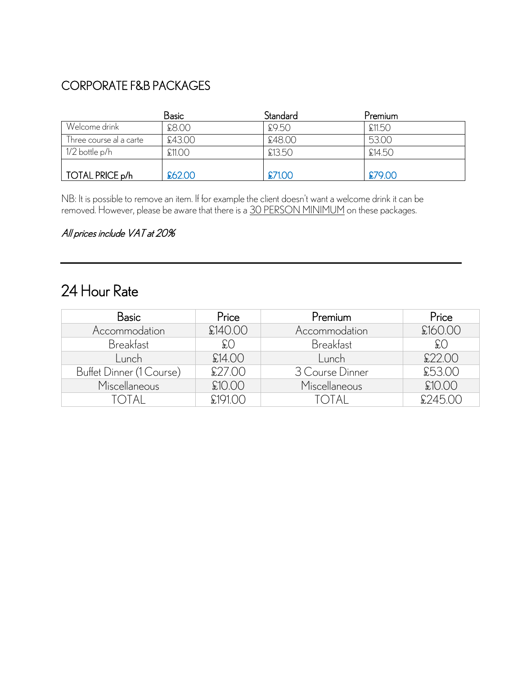### CORPORATE F&B PACKAGES

|                         | Basic   | Standard | Premium |
|-------------------------|---------|----------|---------|
| Welcome drink           | £8.00   | £9.50    | \$11.50 |
| Three course al a carte | \$43.00 | £48.00   | 53.00   |
| 1/2 bottle p/h          | \$11.00 | \$13.50  | \$14.50 |
| TOTAL PRICE p/h         | £62.00  | £71.00   | £79.00  |

NB: It is possible to remove an item. If for example the client doesn't want a welcome drink it can be removed. However, please be aware that there is a 30 PERSON MINIMUM on these packages.

#### All prices include VAT at 20%

## 24 Hour Rate

| <b>Basic</b>             | Price    | Premium          | Price    |
|--------------------------|----------|------------------|----------|
| Accommodation            | \$140.00 | Accommodation    | \$160.00 |
| <b>Breakfast</b>         | $\Omega$ | <b>Breakfast</b> | f(       |
| Lunch                    | £14.00   | Lunch            | \$22.00  |
| Buffet Dinner (1 Course) | \$27.00  | 3 Course Dinner  | £53.00   |
| Miscellaneous            | \$10.00  | Miscellaneous    | \$10.00  |
| <b>TALC</b>              | \$19100  | Total            | \$245.00 |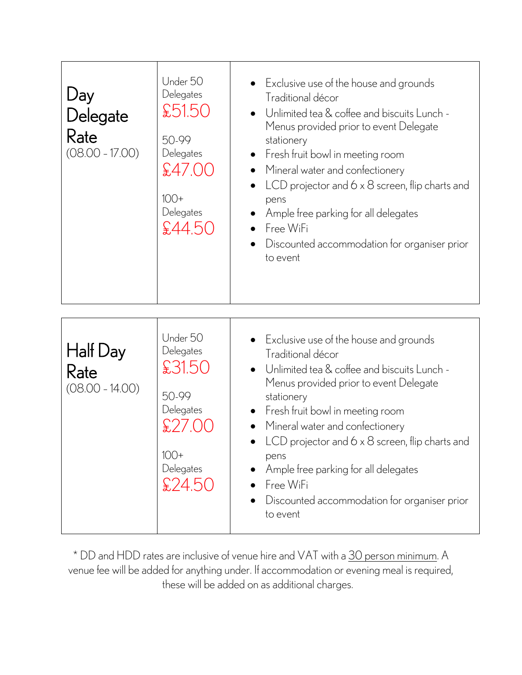| Day<br>Delegate<br>Rate<br>$(08.00 - 17.00)$ | Under 50<br>Delegates<br>£51.50<br>50-99<br>Delegates<br>£47.00<br>$100+$<br>Delegates<br>\$44.50 | Exclusive use of the house and grounds<br>Traditional décor<br>Unlimited tea & coffee and biscuits Lunch -<br>Menus provided prior to event Delegate<br>stationery<br>Fresh fruit bowl in meeting room<br>$\bullet$<br>Mineral water and confectionery<br>$\bullet$<br>LCD projector and $6 \times 8$ screen, flip charts and<br>pens<br>Ample free parking for all delegates<br>Free WiFi<br>Discounted accommodation for organiser prior<br>to event |
|----------------------------------------------|---------------------------------------------------------------------------------------------------|--------------------------------------------------------------------------------------------------------------------------------------------------------------------------------------------------------------------------------------------------------------------------------------------------------------------------------------------------------------------------------------------------------------------------------------------------------|
| Half Day<br>Rate<br>$(08.00 - 14.00)$        | Under 50<br>Delegates<br>£31.50<br>50-99<br>Delegates<br>$100+$<br>Delegates<br>£24.50            | Exclusive use of the house and grounds<br>Traditional décor<br>Unlimited tea & coffee and biscuits Lunch -<br>Menus provided prior to event Delegate<br>stationery<br>Fresh fruit bowl in meeting room<br>Mineral water and confectionery<br>LCD projector and $6 \times 8$ screen, flip charts and<br>pens<br>Ample free parking for all delegates<br>Free WiFi<br>Discounted accommodation for organiser prior<br>to event                           |

\* DD and HDD rates are inclusive of venue hire and VAT with a 30 person minimum. A venue fee will be added for anything under. If accommodation or evening meal is required, these will be added on as additional charges.